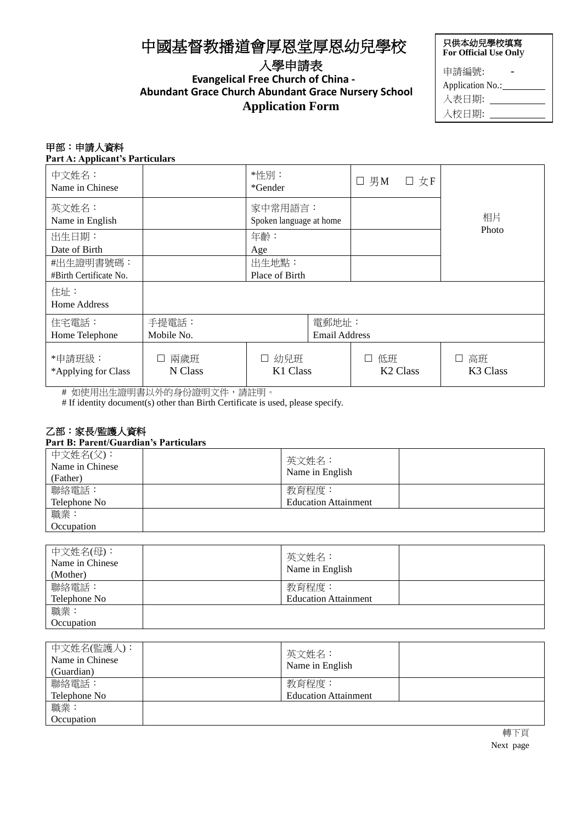# 中國基督教播道會厚恩堂厚恩幼兒學校

## 入學申請表 **Evangelical Free Church of China -**

# **Abundant Grace Church Abundant Grace Nursery School Application Form**

| 只供本幼兒學校填寫<br>For Official Use Only |  |  |  |
|------------------------------------|--|--|--|
| 申請編號:                              |  |  |  |
| Application No.:                   |  |  |  |
| 入表日期:                              |  |  |  |
| 入校日期:                              |  |  |  |

### 甲部:申請人資料

**Part A: Applicant's Particulars**

| 中文姓名:<br>Name in Chinese            |                                                      | *性別:<br>*Gender                    |  | $\square$ 男M | □ 女F                 |                                 |
|-------------------------------------|------------------------------------------------------|------------------------------------|--|--------------|----------------------|---------------------------------|
| 英文姓名:<br>Name in English            |                                                      | 家中常用語言:<br>Spoken language at home |  |              |                      | 相片                              |
| 出生日期:<br>Date of Birth              |                                                      | 年齡:<br>Age                         |  |              |                      | Photo                           |
| #出生證明書號碼:<br>#Birth Certificate No. |                                                      | 出生地點:<br>Place of Birth            |  |              |                      |                                 |
| 住址:<br>Home Address                 |                                                      |                                    |  |              |                      |                                 |
| 住宅電話:<br>Home Telephone             | 手提電話:<br>電郵地址:<br>Mobile No.<br><b>Email Address</b> |                                    |  |              |                      |                                 |
| *申請班級:<br>*Applying for Class       | 兩歲班<br>$\Box$<br>N Class                             | 幼兒班<br>$\Box$<br>K1 Class          |  | 低班<br>$\Box$ | K <sub>2</sub> Class | 高班<br>⊔<br>K <sub>3</sub> Class |

# 如使用出生證明書以外的身份證明文件,請註明。

# If identity document(s) other than Birth Certificate is used, please specify.

#### 乙部:家長**/**監護人資料

**Part B: Parent/Guardian's Particulars**

| 中文姓名(父):<br>Name in Chinese<br>(Father) | 英文姓名:<br>Name in English    |  |
|-----------------------------------------|-----------------------------|--|
| 聯絡電話:                                   | 教育程度:                       |  |
| Telephone No                            | <b>Education Attainment</b> |  |
| 職業:                                     |                             |  |
| Occupation                              |                             |  |

| 中文姓名(母):<br>Name in Chinese<br>(Mother) | 英文姓名:<br>Name in English    |  |
|-----------------------------------------|-----------------------------|--|
| 聯絡電話:                                   | 教育程度:                       |  |
| Telephone No                            | <b>Education Attainment</b> |  |
| 職業:                                     |                             |  |
| Occupation                              |                             |  |

| 中文姓名(監護人):<br>Name in Chinese<br>(Guardian) | 英文姓名:<br>Name in English    |  |
|---------------------------------------------|-----------------------------|--|
| 聯絡電話:                                       | 教育程度:                       |  |
| Telephone No                                | <b>Education Attainment</b> |  |
| 職業:                                         |                             |  |
| Occupation                                  |                             |  |